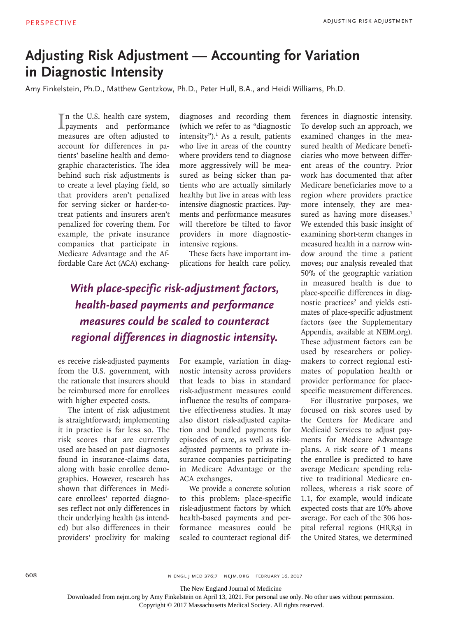## **Adjusting Risk Adjustment — Accounting for Variation in Diagnostic Intensity**

Amy Finkelstein, Ph.D., Matthew Gentzkow, Ph.D., Peter Hull, B.A., and Heidi Williams, Ph.D.

In the U.S. health care system,<br>payments and performance Th the U.S. health care system, measures are often adjusted to account for differences in patients' baseline health and demographic characteristics. The idea behind such risk adjustments is to create a level playing field, so that providers aren't penalized for serving sicker or harder-totreat patients and insurers aren't penalized for covering them. For example, the private insurance companies that participate in Medicare Advantage and the Affordable Care Act (ACA) exchang-

diagnoses and recording them (which we refer to as "diagnostic intensity").<sup>1</sup> As a result, patients who live in areas of the country where providers tend to diagnose more aggressively will be measured as being sicker than patients who are actually similarly healthy but live in areas with less intensive diagnostic practices. Payments and performance measures will therefore be tilted to favor providers in more diagnosticintensive regions.

These facts have important implications for health care policy.

*With place-specific risk-adjustment factors, health-based payments and performance measures could be scaled to counteract regional differences in diagnostic intensity.*

es receive risk-adjusted payments from the U.S. government, with the rationale that insurers should be reimbursed more for enrollees with higher expected costs.

The intent of risk adjustment is straightforward; implementing it in practice is far less so. The risk scores that are currently used are based on past diagnoses found in insurance-claims data, along with basic enrollee demographics. However, research has shown that differences in Medicare enrollees' reported diagnoses reflect not only differences in their underlying health (as intended) but also differences in their providers' proclivity for making

For example, variation in diagnostic intensity across providers that leads to bias in standard risk-adjustment measures could influence the results of comparative effectiveness studies. It may also distort risk-adjusted capitation and bundled payments for episodes of care, as well as riskadjusted payments to private insurance companies participating in Medicare Advantage or the ACA exchanges.

We provide a concrete solution to this problem: place-specific risk-adjustment factors by which health-based payments and performance measures could be scaled to counteract regional differences in diagnostic intensity. To develop such an approach, we examined changes in the measured health of Medicare beneficiaries who move between different areas of the country. Prior work has documented that after Medicare beneficiaries move to a region where providers practice more intensely, they are measured as having more diseases.<sup>1</sup> We extended this basic insight of examining short-term changes in measured health in a narrow window around the time a patient moves; our analysis revealed that 50% of the geographic variation in measured health is due to place-specific differences in diagnostic practices<sup>2</sup> and yields estimates of place-specific adjustment factors (see the Supplementary Appendix, available at NEJM.org). These adjustment factors can be used by researchers or policymakers to correct regional estimates of population health or provider performance for placespecific measurement differences.

For illustrative purposes, we focused on risk scores used by the Centers for Medicare and Medicaid Services to adjust payments for Medicare Advantage plans. A risk score of 1 means the enrollee is predicted to have average Medicare spending relative to traditional Medicare enrollees, whereas a risk score of 1.1, for example, would indicate expected costs that are 10% above average. For each of the 306 hospital referral regions (HRRs) in the United States, we determined

n engl j med 376;7 nejm.org February 16, 2017

The New England Journal of Medicine

Downloaded from nejm.org by Amy Finkelstein on April 13, 2021. For personal use only. No other uses without permission.

Copyright © 2017 Massachusetts Medical Society. All rights reserved.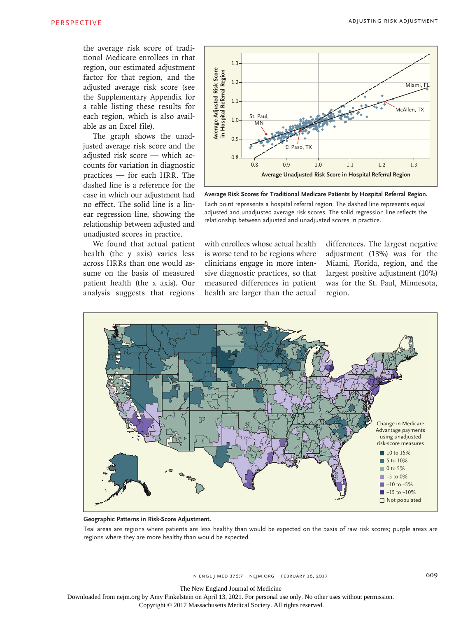the average risk score of traditional Medicare enrollees in that region, our estimated adjustment factor for that region, and the adjusted average risk score (see the Supplementary Appendix for a table listing these results for each region, which is also available as an Excel file).

The graph shows the unadjusted average risk score and the adjusted risk score — which accounts for variation in diagnostic practices — for each HRR. The dashed line is a reference for the case in which our adjustment had no effect. The solid line is a linear regression line, showing the relationship between adjusted and unadjusted scores in practice.

We found that actual patient health (the y axis) varies less across HRRs than one would assume on the basis of measured patient health (the x axis). Our analysis suggests that regions



**Average Risk Scores for Traditional Medicare Patients by Hospital Referral Region.** Each point represents a hospital referral region. The dashed line represents equal adjusted and unadjusted average risk scores. The solid regression line reflects the

with enrollees whose actual health is worse tend to be regions where clinicians engage in more intensive diagnostic practices, so that measured differences in patient health are larger than the actual

differences. The largest negative adjustment (13%) was for the Miami, Florida, region, and the largest positive adjustment (10%) was for the St. Paul, Minnesota, region.



**Geographic Patterns in Risk-Score Adjustment.**

Teal areas are regions where patients are less healthy than would be expected on the basis of raw risk scores; purple areas are regions where they are more healthy than would be expected.

The New England Journal of Medicine

Downloaded from nejm.org by Amy Finkelstein on April 13, 2021. For personal use only. No other uses without permission.

Copyright © 2017 Massachusetts Medical Society. All rights reserved.